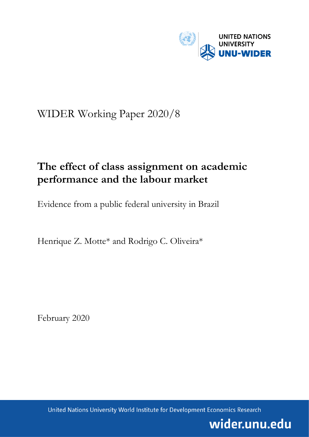

# WIDER Working Paper 2020/8

# **The effect of class assignment on academic performance and the labour market**

Evidence from a public federal university in Brazil

Henrique Z. Motte\* and Rodrigo C. Oliveira\*

February 2020

United Nations University World Institute for Development Economics Research

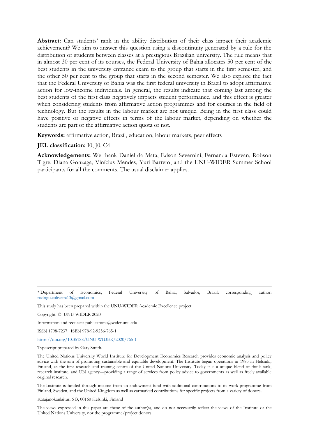**Abstract:** Can students' rank in the ability distribution of their class impact their academic achievement? We aim to answer this question using a discontinuity generated by a rule for the distribution of students between classes at a prestigious Brazilian university. The rule means that in almost 30 per cent of its courses, the Federal University of Bahia allocates 50 per cent of the best students in the university entrance exam to the group that starts in the first semester, and the other 50 per cent to the group that starts in the second semester. We also explore the fact that the Federal University of Bahia was the first federal university in Brazil to adopt affirmative action for low-income individuals. In general, the results indicate that coming last among the best students of the first class negatively impacts student performance, and this effect is greater when considering students from affirmative action programmes and for courses in the field of technology. But the results in the labour market are not unique. Being in the first class could have positive or negative effects in terms of the labour market, depending on whether the students are part of the affirmative action quota or not.

**Keywords:** affirmative action, Brazil, education, labour markets, peer effects

**JEL classification:** I0, J0, C4

**Acknowledgements:** We thank Daniel da Mata, Edson Severnini, Fernanda Estevan, Robson Tigre, Diana Gonzaga, Vinícius Mendes, Yuri Barreto, and the UNU-WIDER Summer School participants for all the comments. The usual disclaimer applies.

\* Department of Economics, Federal University of Bahia, Salvador, Brazil; corresponding author: rodrigo.coliveira13@gmail.com

This study has been prepared within the UNU-WIDER Academic Excellence project.

Copyright © UNU-WIDER 2020

Information and requests: publications@wider.unu.edu

ISSN 1798-7237 ISBN 978-92-9256-765-1

<https://doi.org/10.35188/UNU-WIDER/2020/765-1>

Typescript prepared by Gary Smith.

The United Nations University World Institute for Development Economics Research provides economic analysis and policy advice with the aim of promoting sustainable and equitable development. The Institute began operations in 1985 in Helsinki, Finland, as the first research and training centre of the United Nations University. Today it is a unique blend of think tank, research institute, and UN agency—providing a range of services from policy advice to governments as well as freely available original research.

The Institute is funded through income from an endowment fund with additional contributions to its work programme from Finland, Sweden, and the United Kingdom as well as earmarked contributions for specific projects from a variety of donors.

Katajanokanlaituri 6 B, 00160 Helsinki, Finland

The views expressed in this paper are those of the author(s), and do not necessarily reflect the views of the Institute or the United Nations University, nor the programme/project donors.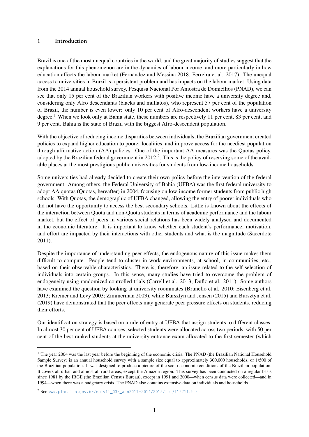#### <span id="page-2-0"></span>1 Introduction

Brazil is one of the most unequal countries in the world, and the great majority of studies suggest that the explanations for this phenomenon are in the dynamics of labour income, and more particularly in how education affects the labour market (Fernández and Messina 2018; Ferreira et al. 2017). The unequal access to universities in Brazil is a persistent problem and has impacts on the labour market. Using data from the 2014 annual household survey, Pesquisa Nacional Por Amostra de Domicílios (PNAD), we can see that only 15 per cent of the Brazilian workers with positive income have a university degree and, considering only Afro descendants (blacks and mullatos), who represent 57 per cent of the population of Brazil, the number is even lower: only 10 per cent of Afro-descendent workers have a university degree.<sup>1</sup> When we look only at Bahia state, these numbers are respectively 11 per cent, 83 per cent, and 9 per cent. Bahia is the state of Brazil with the biggest Afro-descendent population.

With the objective of reducing income disparities between individuals, the Brazilian government created policies to expand higher education to poorer localities, and improve access for the neediest population through affirmative action (AA) policies. One of the important AA measures was the Quotas policy, adopted by the Brazilian federal government in  $2012<sup>2</sup>$ . This is the policy of reserving some of the available places at the most prestigious public universities for students from low-income households.

Some universities had already decided to create their own policy before the intervention of the federal government. Among others, the Federal University of Bahia (UFBA) was the first federal university to adopt AA quotas (Quotas, hereafter) in 2004, focusing on low-income former students from public high schools. With Quotas, the demographic of UFBA changed, allowing the entry of poorer individuals who did not have the opportunity to access the best secondary schools. Little is known about the effects of the interaction between Quota and non-Quota students in terms of academic performance and the labour market, but the effect of peers in various social relations has been widely analysed and documented in the economic literature. It is important to know whether each student's performance, motivation, and effort are impacted by their interactions with other students and what is the magnitude (Sacerdote 2011).

Despite the importance of understanding peer effects, the endogenous nature of this issue makes them difficult to compute. People tend to cluster in work environments, at school, in communities, etc., based on their observable characteristics. There is, therefore, an issue related to the self-selection of individuals into certain groups. In this sense, many studies have tried to overcome the problem of endogeneity using randomized controlled trials (Carrell et al. 2013; Duflo et al. 2011). Some authors have examined the question by looking at university roommates (Brunello et al. 2010; Eisenberg et al. 2013; Kremer and Levy 2003; Zimmerman 2003), while Bursztyn and Jensen (2015) and Bursztyn et al. (2019) have demonstrated that the peer effects may generate peer pressure effects on students, reducing their efforts.

Our identification strategy is based on a rule of entry at UFBA that assign students to different classes. In almost 30 per cent of UFBA courses, selected students were allocated across two periods, with 50 per cent of the best-ranked students at the university entrance exam allocated to the first semester (which

<sup>&</sup>lt;sup>1</sup> The year 2004 was the last year before the beginning of the economic crisis. The PNAD (the Brazilian National Household Sample Survey) is an annual household survey with a sample size equal to approximately 300,000 households, or 1/500 of the Brazilian population. It was designed to produce a picture of the socio-economic conditions of the Brazilian population. It covers all urban and almost all rural areas, except the Amazon region. This survey has been conducted on a regular basis since 1981 by the IBGE (the Brazilian Census Bureau), except in 1991 and 2000—when census data were collected—and in 1994—when there was a budgetary crisis. The PNAD also contains extensive data on individuals and households.

<sup>2</sup> See [www.planalto.gov.br/ccivil\\_03/\\_ato2011-2014/2012/lei/l12711.htm](www.planalto.gov.br/ccivil_03/_ato2011-2014/2012/lei/l12711.htm)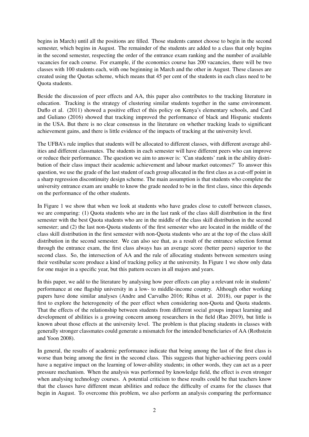begins in March) until all the positions are filled. Those students cannot choose to begin in the second semester, which begins in August. The remainder of the students are added to a class that only begins in the second semester, respecting the order of the entrance exam ranking and the number of available vacancies for each course. For example, if the economics course has 200 vacancies, there will be two classes with 100 students each, with one beginning in March and the other in August. These classes are created using the Quotas scheme, which means that 45 per cent of the students in each class need to be Quota students.

Beside the discussion of peer effects and AA, this paper also contributes to the tracking literature in education. Tracking is the strategy of clustering similar students together in the same environment. Duflo et al. (2011) showed a positive effect of this policy on Kenya's elementary schools, and Card and Guliano (2016) showed that tracking improved the performance of black and Hispanic students in the USA. But there is no clear consensus in the literature on whether tracking leads to significant achievement gains, and there is little evidence of the impacts of tracking at the university level.

The UFBA's rule implies that students will be allocated to different classes, with different average abilities and different classmates. The students in each semester will have different peers who can improve or reduce their performance. The question we aim to answer is: 'Can students' rank in the ability distribution of their class impact their academic achievement and labour market outcomes?' To answer this question, we use the grade of the last student of each group allocated in the first class as a cut-off point in a sharp regression discontinuity design scheme. The main assumption is that students who complete the university entrance exam are unable to know the grade needed to be in the first class, since this depends on the performance of the other students.

In Figure 1 we show that when we look at students who have grades close to cutoff between classes, we are comparing: (1) Quota students who are in the last rank of the class skill distribution in the first semester with the best Quota students who are in the middle of the class skill distribution in the second semester; and (2) the last non-Quota students of the first semester who are located in the middle of the class skill distribution in the first semester with non-Quota students who are at the top of the class skill distribution in the second semester. We can also see that, as a result of the entrance selection format through the entrance exam, the first class always has an average score (better peers) superior to the second class. So, the intersection of AA and the rule of allocating students between semesters using their vestibular score produce a kind of tracking policy at the university. In Figure 1 we show only data for one major in a specific year, but this pattern occurs in all majors and years.

In this paper, we add to the literature by analysing how peer effects can play a relevant role in students' performance at one flagship university in a low- to middle-income country. Although other working papers have done similar analyses (Andre and Carvalho 2016; Ribas et al. 2018), our paper is the first to explore the heterogeneity of the peer effect when considering non-Quota and Quota students. That the effects of the relationship between students from different social groups impact learning and development of abilities is a growing concern among researchers in the field (Rao 2019), but little is known about those effects at the university level. The problem is that placing students in classes with generally stronger classmates could generate a mismatch for the intended beneficiaries of AA (Rothstein and Yoon 2008).

In general, the results of academic performance indicate that being among the last of the first class is worse than being among the first in the second class. This suggests that higher-achieving peers could have a negative impact on the learning of lower-ability students; in other words, they can act as a peer pressure mechanism. When the analysis was performed by knowledge field, the effect is even stronger when analysing technology courses. A potential criticism to these results could be that teachers know that the classes have different mean abilities and reduce the difficulty of exams for the classes that begin in August. To overcome this problem, we also perform an analysis comparing the performance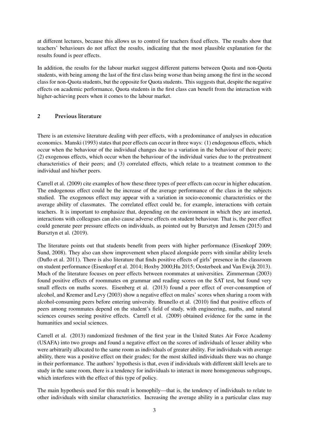at different lectures, because this allows us to control for teachers fixed effects. The results show that teachers' behaviours do not affect the results, indicating that the most plausible explanation for the results found is peer effects.

In addition, the results for the labour market suggest different patterns between Quota and non-Quota students, with being among the last of the first class being worse than being among the first in the second class for non-Quota students, but the opposite for Quota students. This suggests that, despite the negative effects on academic performance, Quota students in the first class can benefit from the interaction with higher-achieving peers when it comes to the labour market.

# 2 Previous literature

There is an extensive literature dealing with peer effects, with a predominance of analyses in education economics. Manski (1993) states that peer effects can occur in three ways: (1) endogenous effects, which occur when the behaviour of the individual changes due to a variation in the behaviour of their peers; (2) exogenous effects, which occur when the behaviour of the individual varies due to the pretreatment characteristics of their peers; and (3) correlated effects, which relate to a treatment common to the individual and his/her peers.

Carrell et al. (2009) cite examples of how these three types of peer effects can occur in higher education. The endogenous effect could be the increase of the average performance of the class in the subjects studied. The exogenous effect may appear with a variation in socio-economic characteristics or the average ability of classmates. The correlated effect could be, for example, interactions with certain teachers. It is important to emphasize that, depending on the environment in which they are inserted, interactions with colleagues can also cause adverse effects on student behaviour. That is, the peer effect could generate peer pressure effects on individuals, as pointed out by Bursztyn and Jensen (2015) and Bursztyn et al. (2019).

The literature points out that students benefit from peers with higher performance (Eisenkopf 2009; Sund, 2008). They also can show improvement when placed alongside peers with similar ability levels (Duflo et al. 2011). There is also literature that finds positive effects of girls' presence in the classroom on student performance (Eisenkopf et al. 2014; Hoxby 2000;Hu 2015; Oosterbeek and Van Ewijk 2013). Much of the literature focuses on peer effects between roommates at universities. Zimmerman (2003) found positive effects of roommates on grammar and reading scores on the SAT test, but found very small effects on maths scores. Eisenberg et al. (2013) found a peer effect of over-consumption of alcohol, and Kremer and Levy (2003) show a negative effect on males' scores when sharing a room with alcohol-consuming peers before entering university. Brunello et al. (2010) find that positive effects of peers among roommates depend on the student's field of study, with engineering, maths, and natural sciences courses seeing positive effects. Carrell et al. (2009) obtained evidence for the same in the humanities and social sciences.

Carrell et al. (2013) randomized freshmen of the first year in the United States Air Force Academy (USAFA) into two groups and found a negative effect on the scores of individuals of lesser ability who were arbitrarily allocated to the same room as individuals of greater ability. For individuals with average ability, there was a positive effect on their grades; for the most skilled individuals there was no change in their performance. The authors' hypothesis is that, even if individuals with different skill levels are to study in the same room, there is a tendency for individuals to interact in more homogeneous subgroups, which interferes with the effect of this type of policy.

The main hypothesis used for this result is homophily—that is, the tendency of individuals to relate to other individuals with similar characteristics. Increasing the average ability in a particular class may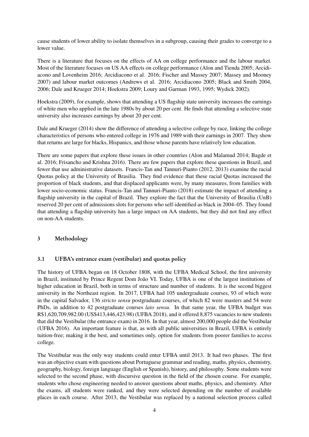cause students of lower ability to isolate themselves in a subgroup, causing their grades to converge to a lower value.

There is a literature that focuses on the effects of AA on college performance and the labour market. Most of the literature focuses on US AA effects on college performance (Alon and Tienda 2005; Arcidiacono and Lovenheim 2016; Arcidiacono et al. 2016; Fischer and Massey 2007; Massey and Mooney 2007) and labour market outcomes (Andrews et al. 2016; Arcidiacono 2005; Black and Smith 2004, 2006; Dale and Krueger 2014; Hoekstra 2009; Loury and Garman 1993, 1995; Wydick 2002).

Hoekstra (2009), for example, shows that attending a US flagship state university increases the earnings of white men who applied in the late 1980s by about 20 per cent. He finds that attending a selective state university also increases earnings by about 20 per cent.

Dale and Krueger (2014) show the difference of attending a selective college by race, linking the college characteristics of persons who entered college in 1976 and 1989 with their earnings in 2007. They show that returns are large for blacks, Hispanics, and those whose parents have relatively low education.

There are some papers that explore these issues in other countries (Alon and Malamud 2014; Bagde et al. 2016; Frisancho and Krishna 2016). There are few papers that explore these questions in Brazil, and fewer that use administrative datasets. Francis-Tan and Tannuri-Pianto (2012, 2013) examine the racial Quotas policy at the University of Brasilia. They find evidence that these racial Quotas increased the proportion of black students, and that displaced applicants were, by many measures, from families with lower socio-economic status. Francis-Tan and Tannuri-Pianto (2018) estimate the impact of attending a flagship university in the capital of Brazil. They explore the fact that the University of Brasilia (UnB) reserved 20 per cent of admissions slots for persons who self-identified as black in 2004–05. They found that attending a flagship university has a large impact on AA students, but they did not find any effect on non-AA students.

## 3 Methodology

## 3.1 UFBA's entrance exam (vestibular) and quotas policy

The history of UFBA began on 18 October 1808, with the UFBA Medical School, the first university in Brazil, instituted by Prince Regent Dom João VI. Today, UFBA is one of the largest institutions of higher education in Brazil, both in terms of structure and number of students. It is the second biggest university in the Northeast region. In 2017, UFBA had 105 undergraduate courses, 93 of which were in the capital Salvador, 136 *stricto sensu* postgraduate courses, of which 82 were masters and 54 were PhDs, in addition to 42 postgraduate courses *lato sensu*. In that same year, the UFBA budget was R\$1,620,709,982.00 (US\$413,446,423.98) (UFBA 2018), and it offered 8,875 vacancies to new students that did the Vestibular (the entrance exam) in 2016. In that year, almost 200,000 people did the Vestibular (UFBA 2016). An important feature is that, as with all public universities in Brazil, UFBA is entirely tuition-free; making it the best, and sometimes only, option for students from poorer families to access college.

The Vestibular was the only way students could enter UFBA until 2013. It had two phases. The first was an objective exam with questions about Portuguese grammar and reading, maths, physics, chemistry, geography, biology, foreign language (English or Spanish), history, and philosophy. Some students were selected to the second phase, with discursive question in the field of the chosen course. For example, students who chose engineering needed to answer questions about maths, physics, and chemistry. After the exams, all students were ranked, and they were selected depending on the number of available places in each course. After 2013, the Vestibular was replaced by a national selection process called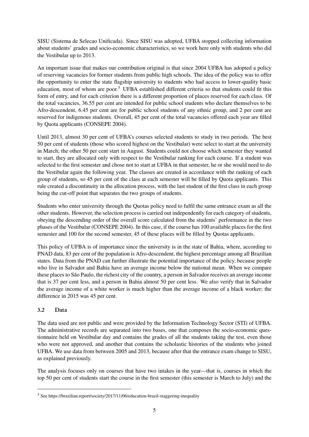SISU (Sistema de Selecao Unificada). Since SISU was adopted, UFBA stopped collecting information about students' grades and socio-economic characteristics, so we work here only with students who did the Vestibular up to 2013.

An important issue that makes our contribution original is that since 2004 UFBA has adopted a policy of reserving vacancies for former students from public high schools. The idea of the policy was to offer the opportunity to enter the state flagship university to students who had access to lower-quality basic education, most of whom are poor.<sup>[3](#page-2-0)</sup> UFBA established different criteria so that students could fit this form of entry, and for each criterion there is a different proportion of places reserved for each class. Of the total vacancies, 36.55 per cent are intended for public school students who declare themselves to be Afro-descendent, 6.45 per cent are for public school students of any ethnic group, and 2 per cent are reserved for indigenous students. Overall, 45 per cent of the total vacancies offered each year are filled by Quota applicants (CONSEPE 2004).

Until 2013, almost 30 per cent of UFBA's courses selected students to study in two periods. The best 50 per cent of students (those who scored highest on the Vestibular) were select to start at the university in March; the other 50 per cent start in August. Students could not choose which semester they wanted to start, they are allocated only with respect to the Vestibular ranking for each course. If a student was selected to the first semester and chose not to start at UFBA in that semester, he or she would need to do the Vestibular again the following year. The classes are created in accordance with the ranking of each group of students, so 45 per cent of the class at each semester will be filled by Quota applicants. This rule created a discontinuity in the allocation process, with the last student of the first class in each group being the cut-off point that separates the two groups of students.

Students who enter university through the Quotas policy need to fulfil the same entrance exam as all the other students. However, the selection process is carried out independently for each category of students, obeying the descending order of the overall score calculated from the students' performance in the two phases of the Vestibular (CONSEPE 2004). In this case, if the course has 100 available places for the first semester and 100 for the second semester, 45 of these places will be filled by Quotas applicants.

This policy of UFBA is of importance since the university is in the state of Bahia, where, according to PNAD data, 83 per cent of the population is Afro-descendent, the highest percentage among all Brazilian states. Data from the PNAD can further illustrate the potential importance of the policy, because people who live in Salvador and Bahia have an average income below the national mean. When we compare these places to São Paulo, the richest city of the country, a person in Salvador receives an average income that is 37 per cent less, and a person in Bahia almost 50 per cent less. We also verify that in Salvador the average income of a white worker is much higher than the average income of a black worker; the difference in 2015 was 45 per cent.

## 3.2 Data

The data used are not public and were provided by the Information Technology Sector (STI) of UFBA. The administrative records are separated into two bases, one that composes the socio-economic questionnaire held on Vestibular day and contains the grades of all the students taking the test, even those who were not approved, and another that contains the scholastic histories of the students who joined UFBA. We use data from between 2005 and 2013, because after that the entrance exam change to SISU, as explained previously.

The analysis focuses only on courses that have two intakes in the year—that is, courses in which the top 50 per cent of students start the course in the first semester (this semester is March to July) and the

<sup>3</sup> See https://brazilian.report/society/2017/11/06/education-brazil-staggering-inequality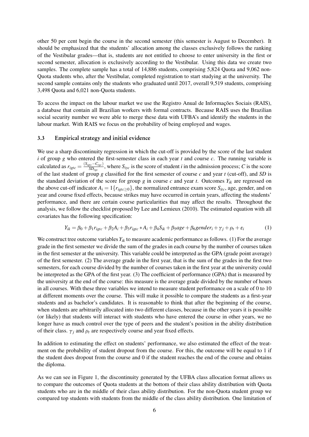other 50 per cent begin the course in the second semester (this semester is August to December). It should be emphasized that the students' allocation among the classes exclusively follows the ranking of the Vestibular grades—that is, students are not entitled to choose to enter university in the first or second semester, allocation is exclusively according to the Vestibular. Using this data we create two samples. The complete sample has a total of 14,886 students, comprising 5,824 Quota and 9,062 non-Quota students who, after the Vestibular, completed registration to start studying at the university. The second sample contains only the students who graduated until 2017, overall 9,519 students, comprising 3,498 Quota and 6,021 non-Quota students.

To access the impact on the labour market we use the Registro Anual de Informações Sociais (RAIS), a database that contain all Brazilian workers with formal contracts. Because RAIS uses the Brazilian social security number we were able to merge these data with UFBA's and identify the students in the labour market. With RAIS we focus on the probability of being employed and wages.

#### 3.3 Empirical strategy and initial evidence

We use a sharp discontinuity regression in which the cut-off is provided by the score of the last student *i* of group *g* who entered the first-semester class in each year *t* and course *c*. The running variable is calculated as  $r_{igtc} = \frac{(S_{igtc} - C_{tgc})}{SD_{tca}}$  $\frac{gt_c - \epsilon_{tgc}}{SD_{tgc}}$ , where  $S_{iyc}$  is the score of student *i* in the admission process; *C* is the score of the last student of group *g* classified for the first semester of course *c* and year *t* (cut-off), and *SD* is the standard deviation of the score for group  $g$  in course  $c$  and year  $t$ . Outcomes  $Y_{ik}$  are regressed on the above cut-off indicator  $A_i = 1\{r_{igtc \geq 0}\}\$ , the normalized entrance exam score  $S_{itc}$ , age, gender, and on year and course fixed effects, because strikes may have occurred in certain years, affecting the students' performance, and there are certain course particularities that may affect the results. Throughout the analysis, we follow the checklist proposed by Lee and Lemieux (2010). The estimated equation with all covariates has the following specification:

$$
Y_{ik} = \beta_0 + \beta_1 r_{igtc} + \beta_2 A_i + \beta_3 r_{igtc} * A_i + \beta_4 S_{ik} + \beta_5 age + \beta_6 gender_i + \gamma_j + \rho_t + \varepsilon_i
$$
 (1)

We construct tree outcome variables *Yik* to measure academic performance as follows. (1) For the average grade in the first semester we divide the sum of the grades in each course by the number of courses taken in the first semester at the university. This variable could be interpreted as the GPA (grade point average) of the first semester. (2) The average grade in the first year, that is the sum of the grades in the first two semesters, for each course divided by the number of courses taken in the first year at the university could be interpreted as the GPA of the first year. (3) The coefficient of performance (GPA) that is measured by the university at the end of the course: this measure is the average grade divided by the number of hours in all courses. With these three variables we intend to measure student performance on a scale of 0 to 10 at different moments over the course. This will make it possible to compare the students as a first-year students and as bachelor's candidates. It is reasonable to think that after the beginning of the course, when students are arbitrarily allocated into two different classes, because in the other years it is possible (or likely) that students will interact with students who have entered the course in other years, we no longer have as much control over the type of peers and the student's position in the ability distribution of their class.  $\gamma_j$  and  $\rho_t$  are respectively course and year fixed effects.

In addition to estimating the effect on students' performance, we also estimated the effect of the treatment on the probability of student dropout from the course. For this, the outcome will be equal to 1 if the student does dropout from the course and 0 if the student reaches the end of the course and obtains the diploma.

As we can see in Figure 1, the discontinuity generated by the UFBA class allocation format allows us to compare the outcomes of Quota students at the bottom of their class ability distribution with Quota students who are in the middle of their class ability distribution. For the non-Quota student group we compared top students with students from the middle of the class ability distribution. One limitation of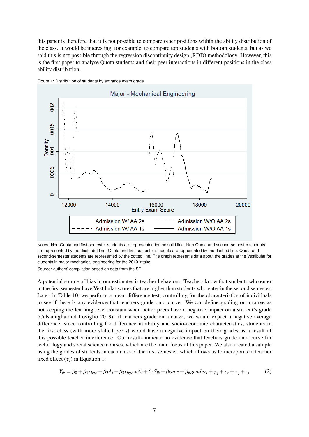this paper is therefore that it is not possible to compare other positions within the ability distribution of the class. It would be interesting, for example, to compare top students with bottom students, but as we said this is not possible through the regression discontinuity design (RDD) methodology. However, this is the first paper to analyse Quota students and their peer interactions in different positions in the class ability distribution.



Figure 1: Distribution of students by entrance exam grade

Notes: Non-Quota and first-semester students are represented by the solid line. Non-Quota and second-semester students are represented by the dash–dot line. Quota and first-semester students are represented by the dashed line. Quota and second-semester students are represented by the dotted line. The graph represents data about the grades at the Vestibular for students in major mechanical engineering for the 2010 intake.

Source: authors' compilation based on data from the STI.

A potential source of bias in our estimates is teacher behaviour. Teachers know that students who enter in the first semester have Vestibular scores that are higher than students who enter in the second semester. Later, in Table 10, we perform a mean difference test, controlling for the characteristics of individuals to see if there is any evidence that teachers grade on a curve. We can define grading on a curve as not keeping the learning level constant when better peers have a negative impact on a student's grade (Calsamiglia and Loviglio 2019): if teachers grade on a curve, we would expect a negative average difference, since controlling for difference in ability and socio-economic characteristics, students in the first class (with more skilled peers) would have a negative impact on their grades as a result of this possible teacher interference. Our results indicate no evidence that teachers grade on a curve for technology and social science courses, which are the main focus of this paper. We also created a sample using the grades of students in each class of the first semester, which allows us to incorporate a teacher fixed effect  $(\tau_i)$  in Equation 1:

$$
Y_{ik} = \beta_0 + \beta_1 r_{igtc} + \beta_2 A_i + \beta_3 r_{igtc} * A_i + \beta_4 S_{ik} + \beta_5 age + \beta_6 gender_i + \gamma_j + \rho_t + \tau_j + \varepsilon_i \tag{2}
$$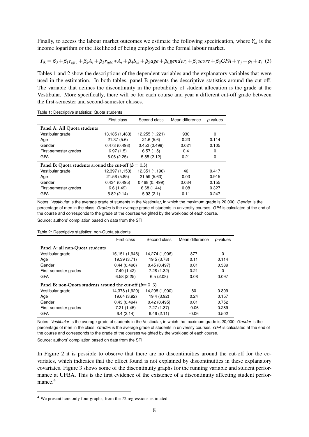Finally, to access the labour market outcomes we estimate the following specification, where  $Y_{ik}$  is the income logarithm or the likelihood of being employed in the formal labour market.

$$
Y_{ik} = \beta_0 + \beta_1 r_{igtc} + \beta_2 A_i + \beta_3 r_{igtc} * A_i + \beta_4 S_{ik} + \beta_5 age + \beta_6 gender_i + \beta_7 score + \beta_8 GPA + \gamma_j + \rho_t + \varepsilon_i
$$
 (3)

Tables 1 and 2 show the descriptions of the dependent variables and the explanatory variables that were used in the estimation. In both tables, panel B presents the descriptive statistics around the cut-off. The variable that defines the discontinuity in the probability of student allocation is the grade at the Vestibular. More specifically, there will be for each course and year a different cut-off grade between the first-semester and second-semester classes.

Table 1: Descriptive statistics: Quota students

|                                                        | First class    | Second class   | Mean difference | p-values |
|--------------------------------------------------------|----------------|----------------|-----------------|----------|
| Panel A: All Quota students                            |                |                |                 |          |
| Vestibular grade                                       | 13,185 (1,483) | 12,255 (1,221) | 930             | 0        |
| Age                                                    | 21.37(5.6)     | 21.6(5.6)      | 0.23            | 0.114    |
| Gender                                                 | 0.473(0.498)   | 0.452(0.499)   | 0.021           | 0.105    |
| First-semester grades                                  | 6.97(1.5)      | 6.57(1.5)      | 0.4             | 0        |
| <b>GPA</b>                                             | 6.06(2.25)     | 5.85(2.12)     | 0.21            | 0        |
| Panel B: Quota students around the cut-off $(b = 0.3)$ |                |                |                 |          |
| Vestibular grade                                       | 12,397 (1,153) | 12,351 (1,190) | 46              | 0.417    |
| Age                                                    | 21.56 (5.85)   | 21.59 (5.63)   | 0.03            | 0.915    |
| Gender                                                 | 0.434(0.495)   | 0.468(0.499)   | 0.034           | 0.155    |
| First-semester grades                                  | 6.6(1.49)      | 6.68(1.44)     | 0.08            | 0.327    |
| <b>GPA</b>                                             | 5.82(2.14)     | 5.93(2.1)      | 0.11            | 0.247    |

Notes: *Vestibular* is the average grade of students in the Vestibular, in which the maximum grade is 20,000. *Gender* is the percentage of men in the class. *Grades* is the average grade of students in university courses. *GPA* is calculated at the end of the course and corresponds to the grade of the courses weighted by the workload of each course.

Source: authors' compilation based on data from the STI.

Table 2: Descriptive statistics: non-Quota students

|                                                          | First class    | Second class   | Mean difference | p-values |
|----------------------------------------------------------|----------------|----------------|-----------------|----------|
| Panel A: all non-Quota students                          |                |                |                 |          |
| Vestibular grade                                         | 15,151 (1,946) | 14,274 (1,906) | 877             | 0        |
| Age                                                      | 19.39 (3.71)   | 19.5 (3.78)    | 0.11            | 0.114    |
| Gender                                                   | 0.44(0.496)    | 0.45(0.497)    | 0.01            | 0.389    |
| First-semester grades                                    | 7.49(1.42)     | 7.28(1.32)     | 0.21            | 0        |
| <b>GPA</b>                                               | 6.58(2.25)     | 6.5(2.08)      | 0.08            | 0.097    |
| Panel B: non-Quota students around the cut-off $(b=0.3)$ |                |                |                 |          |
| Vestibular grade                                         | 14,378 (1,929) | 14,298 (1,900) | 80              | 0.309    |
| Age                                                      | 19.64 (3.92)   | 19.4 (3.92)    | 0.24            | 0.157    |
| Gender                                                   | 0.43(0.494)    | 0.42(0.495)    | 0.01            | 0.752    |
| First-semester grades                                    | 7.21(1.45)     | 7.27(1.37)     | $-0.06$         | 0.289    |
| <b>GPA</b>                                               | 6.4(2.14)      | 6.46(2.11)     | $-0.06$         | 0.502    |

Notes: *Vestibular* is the average grade of students in the Vestibular, in which the maximum grade is 20,000. *Gender* is the percentage of men in the class. *Grades* is the average grade of students in university courses. *GPA* is calculated at the end of the course and corresponds to the grade of the courses weighted by the workload of each course.

Source: authors' compilation based on data from the STI.

In Figure 2 it is possible to observe that there are no discontinuities around the cut-off for the covariates, which indicates that the effect found is not explained by discontinuities in these explanatory covariates. Figure 3 shows some of the discontinuity graphs for the running variable and student performance at UFBA. This is the first evidence of the existence of a discontinuity affecting student perfor-mance.<sup>[4](#page-2-0)</sup>

<sup>4</sup> We present here only four graphs, from the 72 regressions estimated.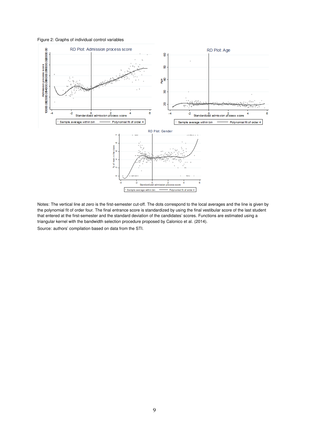Figure 2: Graphs of individual control variables



Notes: The vertical line at zero is the first-semester cut-off. The dots correspond to the local averages and the line is given by the polynomial fit of order four. The final entrance score is standardized by using the final vestibular score of the last student that entered at the first-semester and the standard deviation of the candidates' scores. Functions are estimated using a triangular kernel with the bandwidth selection procedure proposed by Calonico et al. (2014).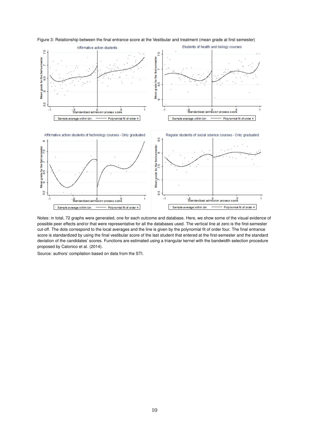

Figure 3: Relationship between the final entrance score at the Vestibular and treatment (mean grade at first semester)

Notes: in total, 72 graphs were generated, one for each outcome and database. Here, we show some of the visual evidence of possible peer effects and/or that were representative for all the databases used. The vertical line at zero is the first-semester cut-off. The dots correspond to the local averages and the line is given by the polynomial fit of order four. The final entrance score is standardized by using the final vestibular score of the last student that entered at the first-semester and the standard deviation of the candidates' scores. Functions are estimated using a triangular kernel with the bandwidth selection procedure proposed by Calonico et al. (2014).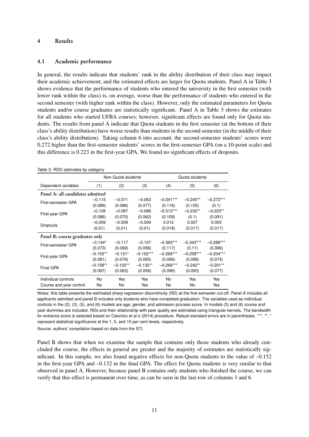#### 4 Results

#### 4.1 Academic performance

In general, the results indicate that students' rank in the ability distribution of their class may impact their academic achievement, and the estimated effects are larger for Quota students. Panel A in Table 3 shows evidence that the performance of students who entered the university in the first semester (with lower rank within the class) is, on average, worse than the performance of students who entered in the second semester (with higher rank within the class). However, only the estimated parameters for Quota students and/or course graduates are statistically significant. Panel A in Table 3 shows the estimates for all students who started UFBA courses; however, significant effects are found only for Quota students. The results from panel A indicate that Quota students in the first semester (at the bottom of their class's ability distribution) have worse results than students in the second semester (in the middle of their class's ability distribution). Taking column 6 into account, the second-semester students' scores were 0.272 higher than the first-semester students' scores in the first-semester GPA (on a 10-point scale) and this difference is 0.223 in the first-year GPA. We found no significant effects of dropouts.

|                                  |            | Non-Quota students |             |             | Quota students |             |
|----------------------------------|------------|--------------------|-------------|-------------|----------------|-------------|
| Dependent variables              | (1)        | (2)                | (3)         | (4)         | (5)            | (6)         |
| Panel A: all candidates admitted |            |                    |             |             |                |             |
| First-semester GPA               | $-0.115$   | $-0.071$           | $-0.063$    | $-0.341***$ | $-0.245**$     | $-0.272***$ |
|                                  | (0.089)    | (0.086)            | (0.077)     | (0.116)     | (0.105)        | (0.1)       |
| First-year GPA                   | $-0.126$   | $-0.087$           | $-0.086$    | $-0.313***$ | $-0.232**$     | $-0.223**$  |
|                                  | (0.086)    | (0.075)            | (0.062)     | (0.109)     | (0.1)          | (0.091)     |
| Dropouts                         | $-0.009$   | $-0.009$           | $-0.009$    | 0.012       | 0.007          | 0.003       |
|                                  | (0.01)     | (0.01)             | (0.01)      | (0.018)     | (0.017)        | (0.017)     |
| Panel B: course graduates only   |            |                    |             |             |                |             |
| First-semester GPA               | $-0.144*$  | $-0.117$           | $-0.107$    | $-0.393***$ | $-0.343***$    | $-0.289***$ |
|                                  | (0.073)    | (0.069)            | (0.056)     | (0.117)     | (0.11)         | (0.096)     |
| First-year GPA                   | $-0.155**$ | $-0.131*$          | $-0.152***$ | $-0.269***$ | $-0.258***$    | $-0.204***$ |
|                                  | (0.081)    | (0.076)            | (0.065)     | (0.096)     | (0.098)        | (0.074)     |
| Final GPA                        | $-0.158**$ | $-0.122**$         | $-0.132**$  | $-0.269***$ | $-0.242**$     | $-0.201**$  |
|                                  | (0.067)    | (0.063)            | (0.056)     | (0.096)     | (0.093)        | (0.077)     |
| Individual controls              | No.        | Yes                | Yes         | No          | Yes            | Yes         |
| Course and year control          | No         | No                 | Yes         | No          | No             | Yes         |

Table 3: RDD estimates by category

Notes: this table presents the estimated sharp regression discontinuity (RD) at the first-semester cut-off. Panel A includes all applicants admitted and panel B includes only students who have completed graduation. The variables used as individual controls in the (2), (3), (5), and (6) models are age, gender, and admission process score. In models (3) and (6) course and year dummies are included. RDs and their relationship with peer quality are estimated using triangular kernels. The bandwidth for entrance score is selected based on Calonico et al.'s (2014) procedure. Robust standard errors are in parentheses. \*\*\*, \*\*, \* represent statistical significance at the 1, 5, and 10 per cent levels, respectively.

Source: authors' compilation based on data from the STI.

Panel B shows that when we examine the sample that contains only those students who already concluded the course, the effects in general are greater and the majority of estimates are statistically significant. In this sample, we also found negative effects for non-Quota students to the value of –0.152 in the first-year GPA and –0.132 in the final GPA. The effect for Quota students is very similar to that observed in panel A. However, because panel B contains only students who finished the course, we can verify that this effect is permanent over time, as can be seen in the last row of columns 3 and 6.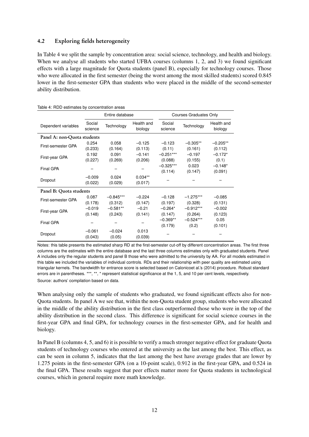#### 4.2 Exploring fields heterogeneity

In Table 4 we split the sample by concentration area: social science, technology, and health and biology. When we analyse all students who started UFBA courses (columns 1, 2, and 3) we found significant effects with a large magnitude for Quota students (panel B), especially for technology courses. Those who were allocated in the first semester (being the worst among the most skilled students) scored 0.845 lower in the first-semester GPA than students who were placed in the middle of the second-semester ability distribution.

|                             |                   | Entire database |                       |                   | <b>Courses Graduates Only</b> |                       |  |
|-----------------------------|-------------------|-----------------|-----------------------|-------------------|-------------------------------|-----------------------|--|
| Dependent variables         | Social<br>science | Technology      | Health and<br>biology | Social<br>science | Technology                    | Health and<br>biology |  |
| Panel A: non-Quota students |                   |                 |                       |                   |                               |                       |  |
| First-semester GPA          | 0.254             | 0.058           | $-0.125$              | $-0.123$          | $-0.305**$                    | $-0.205**$            |  |
|                             | (0.233)           | (0.164)         | (0.113)               | (0.11)            | (0.161)                       | (0.112)               |  |
| First-year GPA              | 0.192             | 0.091           | $-0.141$              | $-0.251***$       | $-0.197$                      | $-0.172*$             |  |
|                             | (0.227)           | (0.269)         | (0.206)               | (0.088)           | (0.155)                       | (0.1)                 |  |
| Final GPA                   |                   |                 |                       | $-0.325***$       | 0.023                         | $-0.148*$             |  |
|                             |                   |                 |                       | (0.114)           | (0.147)                       | (0.091)               |  |
| Dropout                     | $-0.009$          | 0.024           | $0.034**$             |                   |                               |                       |  |
|                             | (0.022)           | (0.029)         | (0.017)               |                   |                               |                       |  |
| Panel B: Quota students     |                   |                 |                       |                   |                               |                       |  |
| First-semester GPA          | 0.087             | $-0.845***$     | $-0.224$              | $-0.128$          | $-1.275***$                   | $-0.085$              |  |
|                             | (0.178)           | (0.312)         | (0.147)               | (0.197)           | (0.328)                       | (0.131)               |  |
| First-year GPA              | $-0.019$          | $-0.581**$      | $-0.21$               | $-0.264*$         | $-0.912***$                   | $-0.002$              |  |
|                             | (0.148)           | (0.243)         | (0.141)               | (0.147)           | (0.264)                       | (0.123)               |  |
| Final GPA                   |                   |                 |                       | $-0.369**$        | $-0.524***$                   | 0.05                  |  |
|                             |                   |                 |                       | (0.179)           | (0.2)                         | (0.101)               |  |
|                             | $-0.061$          | $-0.024$        | 0.013                 |                   |                               |                       |  |
| Dropout                     | (0.043)           | (0.05)          | (0.039)               |                   |                               |                       |  |

Table 4: RDD estimates by concentration areas

Notes: this table presents the estimated sharp RD at the first-semester cut-off by different concentration areas. The first three columns are the estimates with the entire database and the last three columns estimates only with graduated students. Panel A includes only the regular students and panel B those who were admitted to the university by AA. For all models estimated in this table we included the variables of individual controls. RDs and their relationship with peer quality are estimated using triangular kernels. The bandwidth for entrance score is selected based on Calonicoet al.'s (2014) procedure. Robust standard errors are in parentheses. \*\*\*, \*\*, \* represent statistical significance at the 1, 5, and 10 per cent levels, respectively. Source: authors' compilation based on data.

When analysing only the sample of students who graduated, we found significant effects also for non-Quota students. In panel A we see that, within the non-Quota student group, students who were allocated in the middle of the ability distribution in the first class outperformed those who were in the top of the ability distribution in the second class. This difference is significant for social science courses in the first-year GPA and final GPA, for technology courses in the first-semester GPA, and for health and biology.

In Panel B (columns 4, 5, and 6) it is possible to verify a much stronger negative effect for graduate Quota students of technology courses who entered at the university as the last among the best. This effect, as can be seen in column 5, indicates that the last among the best have average grades that are lower by 1.275 points in the first-semester GPA (on a 10-point scale), 0.912 in the first-year GPA, and 0.524 in the final GPA. These results suggest that peer effects matter more for Quota students in technological courses, which in general require more math knowledge.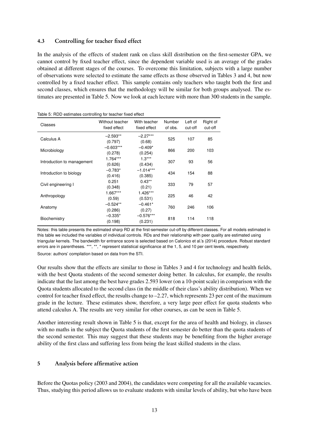## 4.3 Controlling for teacher fixed effect

In the analysis of the effects of student rank on class skill distribution on the first-semester GPA, we cannot control by fixed teacher effect, since the dependent variable used is an average of the grades obtained at different stages of the courses. To overcome this limitation, subjects with a large number of observations were selected to estimate the same effects as those observed in Tables 3 and 4, but now controlled by a fixed teacher effect. This sample contains only teachers who taught both the first and second classes, which ensures that the methodology will be similar for both groups analysed. The estimates are presented in Table 5. Now we look at each lecture with more than 300 students in the sample.

| Classes                    | Without teacher<br>fixed effect | With teacher<br>fixed effect | Number<br>of obs. | Left of<br>cut-off | Right of<br>cut-off |
|----------------------------|---------------------------------|------------------------------|-------------------|--------------------|---------------------|
| Calculus A                 | $-2.593**$<br>(0.797)           | $-2.27***$<br>(0.68)         | 525               | 107                | 85                  |
| Microbiology               | $-0.603***$<br>(0.278)          | $-0.409*$<br>(0.254)         | 866               | 200                | 103                 |
| Introduction to management | 1.764***<br>(0.626)             | $1.3***$<br>(0.434)          | 307               | 93                 | 56                  |
| Introduction to biology    | $-0.783*$<br>(0.416)            | $-1.014***$<br>(0.385)       | 434               | 154                | 88                  |
| Civil engineering I        | 0.251<br>(0.348)                | $0.43**$<br>(0.21)           | 333               | 79                 | 57                  |
| Anthropology               | 1.667***<br>(0.59)              | 1.426***<br>(0.531)          | 225               | 46                 | 42                  |
| Anatomy                    | $-0.524**$<br>(0.286)           | $-0.461*$<br>(0.27)          | 760               | 246                | 106                 |
| Biochemistry               | $-0.335*$<br>(0.198)            | $-0.576***$<br>(0.231)       | 818               | 114                | 118                 |

Table 5: RDD estimates controlling for teacher fixed effect

Notes: this table presents the estimated sharp RD at the first-semester cut-off by different classes. For all models estimated in this table we included the variables of individual controls. RDs and their relationship with peer quality are estimated using triangular kernels. The bandwidth for entrance score is selected based on Calonico et al.'s (2014) procedure. Robust standard errors are in parentheses. \*\*\*, \*\*, \* represent statistical significance at the 1, 5, and 10 per cent levels, respectively. Source: authors' compilation based on data from the STI.

Our results show that the effects are similar to those in Tables 3 and 4 for technology and health fields, with the best Quota students of the second semester doing better. In calculus, for example, the results indicate that the last among the best have grades 2.593 lower (on a 10-point scale) in comparison with the Quota students allocated to the second class (in the middle of their class's ability distribution). When we control for teacher fixed effect, the results change to –2.27, which represents 23 per cent of the maximum grade in the lecture. These estimates show, therefore, a very large peer effect for quota students who attend calculus A. The results are very similar for other courses, as can be seen in Table 5.

Another interesting result shown in Table 5 is that, except for the area of health and biology, in classes with no maths in the subject the Quota students of the first semester do better than the quota students of the second semester. This may suggest that these students may be benefiting from the higher average ability of the first class and suffering less from being the least skilled students in the class.

## 5 Analysis before affirmative action

Before the Quotas policy (2003 and 2004), the candidates were competing for all the available vacancies. Thus, studying this period allows us to evaluate students with similar levels of ability, but who have been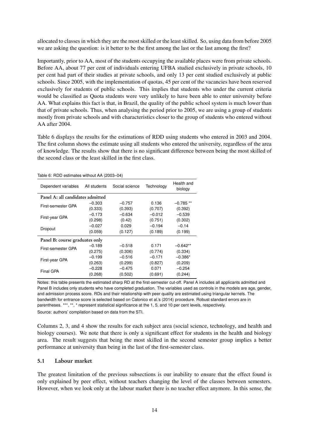allocated to classes in which they are the most skilled or the least skilled. So, using data from before 2005 we are asking the question: is it better to be the first among the last or the last among the first?

Importantly, prior to AA, most of the students occupying the available places were from private schools. Before AA, about 77 per cent of individuals entering UFBA studied exclusively in private schools, 10 per cent had part of their studies at private schools, and only 13 per cent studied exclusively at public schools. Since 2005, with the implementation of quotas, 45 per cent of the vacancies have been reserved exclusively for students of public schools. This implies that students who under the current criteria would be classified as Quota students were very unlikely to have been able to enter university before AA. What explains this fact is that, in Brazil, the quality of the public school system is much lower than that of private schools. Thus, when analysing the period prior to 2005, we are using a group of students mostly from private schools and with characteristics closer to the group of students who entered without AA after 2004.

Table 6 displays the results for the estimations of RDD using students who entered in 2003 and 2004. The first column shows the estimate using all students who entered the university, regardless of the area of knowledge. The results show that there is no significant difference between being the most skilled of the second class or the least skilled in the first class.

| .abio 6: 1155 commatoe minicat / w (15000 - 0 1) |              |                |            |                       |  |  |  |  |
|--------------------------------------------------|--------------|----------------|------------|-----------------------|--|--|--|--|
| Dependent variables                              | All students | Social science | Technology | Health and<br>biology |  |  |  |  |
| Panel A: all candidates admitted                 |              |                |            |                       |  |  |  |  |
| First-semester GPA                               | $-0.303$     | $-0.757$       | 0.136      | $-0.785**$            |  |  |  |  |
|                                                  | (0.333)      | (0.393)        | (0.707)    | (0.392)               |  |  |  |  |
|                                                  | $-0.173$     | $-0.634$       | $-0.012$   | $-0.539$              |  |  |  |  |
| First-year GPA                                   | (0.298)      | (0.42)         | (0.751)    | (0.302)               |  |  |  |  |
| Dropout                                          | $-0.027$     | 0.029          | $-0.194$   | $-0.14$               |  |  |  |  |
|                                                  | (0.059)      | (0.127)        | (0.189)    | (0.199)               |  |  |  |  |
| Panel B: course graduates only                   |              |                |            |                       |  |  |  |  |
| First-semester GPA                               | $-0.189$     | $-0.518$       | 0.171      | $-0.642**$            |  |  |  |  |
|                                                  | (0.275)      | (0.306)        | (0.774)    | (0.334)               |  |  |  |  |
|                                                  | $-0.199$     | $-0.516$       | $-0.171$   | $-0.386*$             |  |  |  |  |
| First-year GPA                                   | (0.263)      | (0.299)        | (0.827)    | (0.209)               |  |  |  |  |
| Final GPA                                        | $-0.228$     | $-0.475$       | 0.071      | $-0.254$              |  |  |  |  |
|                                                  | (0.268)      | (0.502)        | (0.691)    | (0.244)               |  |  |  |  |
|                                                  |              |                |            |                       |  |  |  |  |

Table 6: RDD estimates without AA (2003–04)

Notes: this table presents the estimated sharp RD at the first-semester cut-off. Panel A includes all applicants admitted and Panel B includes only students who have completed graduation. The variables used as controls in the models are age, gender, and admission process score. RDs and their relationship with peer quality are estimated using triangular kernels. The bandwidth for entrance score is selected based on Calonico et al.'s (2014) procedure. Robust standard errors are in parentheses. \*\*\*, \*\*, \* represent statistical significance at the 1, 5, and 10 per cent levels, respectively. Source: authors' compilation based on data from the STI.

Columns 2, 3, and 4 show the results for each subject area (social science, technology, and health and biology courses). We note that there is only a significant effect for students in the health and biology area. The result suggests that being the most skilled in the second semester group implies a better performance at university than being in the last of the first-semester class.

#### 5.1 Labour market

The greatest limitation of the previous subsections is our inability to ensure that the effect found is only explained by peer effect, without teachers changing the level of the classes between semesters. However, when we look only at the labour market there is no teacher effect anymore. In this sense, the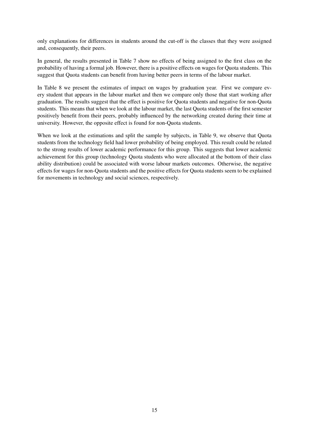only explanations for differences in students around the cut-off is the classes that they were assigned and, consequently, their peers.

In general, the results presented in Table 7 show no effects of being assigned to the first class on the probability of having a formal job. However, there is a positive effects on wages for Quota students. This suggest that Quota students can benefit from having better peers in terms of the labour market.

In Table 8 we present the estimates of impact on wages by graduation year. First we compare every student that appears in the labour market and then we compare only those that start working after graduation. The results suggest that the effect is positive for Quota students and negative for non-Quota students. This means that when we look at the labour market, the last Quota students of the first semester positively benefit from their peers, probably influenced by the networking created during their time at university. However, the opposite effect is found for non-Quota students.

When we look at the estimations and split the sample by subjects, in Table 9, we observe that Quota students from the technology field had lower probability of being employed. This result could be related to the strong results of lower academic performance for this group. This suggests that lower academic achievement for this group (technology Quota students who were allocated at the bottom of their class ability distribution) could be associated with worse labour markets outcomes. Otherwise, the negative effects for wages for non-Quota students and the positive effects for Quota students seem to be explained for movements in technology and social sciences, respectively.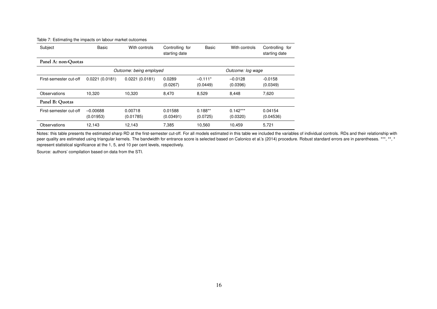| Subject                 | Basic                   | With controls        | Controlling for<br>starting date | Basic                 | With controls          | Controlling for<br>starting date |
|-------------------------|-------------------------|----------------------|----------------------------------|-----------------------|------------------------|----------------------------------|
| Panel A: non-Ouotas     |                         |                      |                                  |                       |                        |                                  |
| Outcome: being employed |                         |                      |                                  |                       | Outcome: log wage      |                                  |
| First-semester cut-off  | 0.0221(0.0181)          | 0.0221(0.0181)       | 0.0289<br>(0.0267)               | $-0.111*$<br>(0.0449) | $-0.0128$<br>(0.0396)  | $-0.0158$<br>(0.0349)            |
| Observations            | 10.320                  | 10,320               | 8,470                            | 8,529                 | 8,448                  | 7,620                            |
| Panel B: Ouotas         |                         |                      |                                  |                       |                        |                                  |
| First-semester cut-off  | $-0.00688$<br>(0.01953) | 0.00718<br>(0.01785) | 0.01588<br>(0.03491)             | $0.188**$<br>(0.0725) | $0.142***$<br>(0.0320) | 0.04154<br>(0.04536)             |
| Observations            | 12.143                  | 12.143               | 7.385                            | 10.560                | 10.459                 | 5.721                            |

#### Table 7: Estimating the impacts on labour market outcomes

Notes: this table presents the estimated sharp RD at the first-semester cut-off. For all models estimated in this table we included the variables of individual controls. RDs and their relationship with peer quality are estimated using triangular kernels. The bandwidth for entrance score is selected based on Calonico et al.'s (2014) procedure. Robust standard errors are in parentheses. \*\*\*, \*\*, \* represent statistical significance at the 1, 5, and 10 per cent levels, respectively.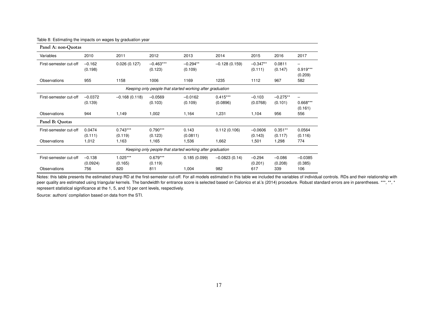| Panel A: non-Quotas                                       |                      |                       |                        |                                                           |                        |                       |                       |                            |
|-----------------------------------------------------------|----------------------|-----------------------|------------------------|-----------------------------------------------------------|------------------------|-----------------------|-----------------------|----------------------------|
| Variables                                                 | 2010                 | 2011                  | 2012                   | 2013                                                      | 2014                   | 2015                  | 2016                  | 2017                       |
| First-semester cut-off                                    | $-0.162$<br>(0.198)  | 0.026(0.127)          | $-0.463***$<br>(0.123) | $-0.294**$<br>(0.109)                                     | $-0.128(0.159)$        | $-0.347**$<br>(0.111) | 0.0811<br>(0.147)     | -<br>$0.919***$<br>(0.209) |
| Observations                                              | 955                  | 1158                  | 1006                   | 1169                                                      | 1235                   | 1112                  | 967                   | 582                        |
| Keeping only people that started working after graduation |                      |                       |                        |                                                           |                        |                       |                       |                            |
| First-semester cut-off                                    | $-0.0372$<br>(0.139) | $-0.168(0.118)$       | $-0.0569$<br>(0.103)   | $-0.0162$<br>(0.109)                                      | $0.415***$<br>(0.0896) | $-0.103$<br>(0.0768)  | $-0.275**$<br>(0.101) | -<br>$0.668***$<br>(0.161) |
| <b>Observations</b>                                       | 944                  | 1,149                 | 1,002                  | 1,164                                                     | 1,231                  | 1,104                 | 956                   | 556                        |
| Panel B: Quotas                                           |                      |                       |                        |                                                           |                        |                       |                       |                            |
| First-semester cut-off                                    | 0.0474<br>(0.111)    | $0.743***$<br>(0.119) | $0.790***$<br>(0.123)  | 0.143<br>(0.0811)                                         | 0.112(0.106)           | $-0.0606$<br>(0.143)  | $0.351**$<br>(0.117)  | 0.0564<br>(0.116)          |
| Observations                                              | 1,012                | 1,163                 | 1,165                  | 1,536                                                     | 1,662                  | 1,501                 | 1,298                 | 774                        |
|                                                           |                      |                       |                        | Keeping only people that started working after graduation |                        |                       |                       |                            |
| First-semester cut-off                                    | $-0.138$<br>(0.0924) | $1.025***$<br>(0.165) | $0.679***$<br>(0.119)  | 0.185(0.099)                                              | $-0.0823(0.14)$        | $-0.294$<br>(0.201)   | $-0.086$<br>(0.208)   | $-0.0385$<br>(0.385)       |
| Observations                                              | 756                  | 820                   | 811                    | 1,004                                                     | 982                    | 617                   | 339                   | 106                        |

Table 8: Estimating the impacts on wages by graduation year

Notes: this table presents the estimated sharp RD at the first-semester cut-off. For all models estimated in this table we included the variables of individual controls. RDs and their relationship with peer quality are estimated using triangular kernels. The bandwidth for entrance score is selected based on Calonico et al.'s (2014) procedure. Robust standard errors are in parentheses. \*\*\*, \*\*, \* represent statistical significance at the 1, 5, and 10 per cent levels, respectively.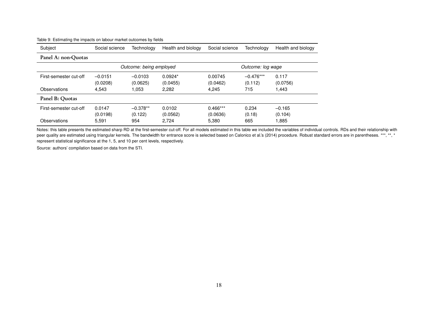| Subject                | Social science        | Technology              | Health and biology    | Social science         | Technology             | Health and biology  |  |
|------------------------|-----------------------|-------------------------|-----------------------|------------------------|------------------------|---------------------|--|
| Panel A: non-Quotas    |                       |                         |                       |                        |                        |                     |  |
|                        |                       | Outcome: being employed |                       |                        | Outcome: log wage      |                     |  |
| First-semester cut-off | $-0.0151$<br>(0.0208) | $-0.0103$<br>(0.0625)   | $0.0924*$<br>(0.0455) | 0.00745<br>(0.0462)    | $-0.476***$<br>(0.112) | 0.117<br>(0.0756)   |  |
| Observations           | 4.543                 | 1.053                   | 2,282                 | 4.245                  | 715                    | 1,443               |  |
| Panel B: Quotas        |                       |                         |                       |                        |                        |                     |  |
| First-semester cut-off | 0.0147<br>(0.0198)    | $-0.378**$<br>(0.122)   | 0.0102<br>(0.0562)    | $0.466***$<br>(0.0636) | 0.234<br>(0.18)        | $-0.165$<br>(0.104) |  |
| Observations           | 5,591                 | 954                     | 2.724                 | 5,380                  | 665                    | 1,885               |  |

#### Table 9: Estimating the impacts on labour market outcomes by fields

Notes: this table presents the estimated sharp RD at the first-semester cut-off. For all models estimated in this table we included the variables of individual controls. RDs and their relationship with peer quality are estimated using triangular kernels. The bandwidth for entrance score is selected based on Calonico et al.'s (2014) procedure. Robust standard errors are in parentheses. \*\*\*, \*\*, \* represent statistical significance at the 1, 5, and 10 per cent levels, respectively.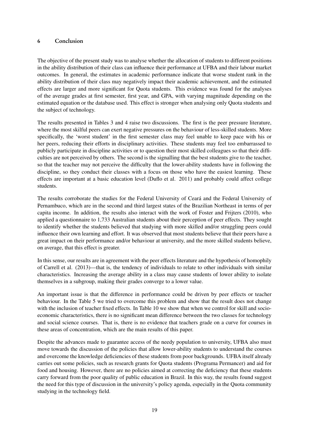#### 6 Conclusion

The objective of the present study was to analyse whether the allocation of students to different positions in the ability distribution of their class can influence their performance at UFBA and their labour market outcomes. In general, the estimates in academic performance indicate that worse student rank in the ability distribution of their class may negatively impact their academic achievement, and the estimated effects are larger and more significant for Quota students. This evidence was found for the analyses of the average grades at first semester, first year, and GPA, with varying magnitude depending on the estimated equation or the database used. This effect is stronger when analysing only Quota students and the subject of technology.

The results presented in Tables 3 and 4 raise two discussions. The first is the peer pressure literature, where the most skilful peers can exert negative pressures on the behaviour of less-skilled students. More specifically, the 'worst student' in the first semester class may feel unable to keep pace with his or her peers, reducing their efforts in disciplinary activities. These students may feel too embarrassed to publicly participate in discipline activities or to question their most skilled colleagues so that their difficulties are not perceived by others. The second is the signalling that the best students give to the teacher, so that the teacher may not perceive the difficulty that the lower-ability students have in following the discipline, so they conduct their classes with a focus on those who have the easiest learning. These effects are important at a basic education level (Duflo et al. 2011) and probably could affect college students.

The results corroborate the studies for the Federal University of Ceará and the Federal University of Pernambuco, which are in the second and third largest states of the Brazilian Northeast in terms of per capita income. In addition, the results also interact with the work of Foster and Frijters (2010), who applied a questionnaire to 1,733 Australian students about their perception of peer effects. They sought to identify whether the students believed that studying with more skilled and/or struggling peers could influence their own learning and effort. It was observed that most students believe that their peers have a great impact on their performance and/or behaviour at university, and the more skilled students believe, on average, that this effect is greater.

In this sense, our results are in agreement with the peer effects literature and the hypothesis of homophily of Carrell et al. (2013)—that is, the tendency of individuals to relate to other individuals with similar characteristics. Increasing the average ability in a class may cause students of lower ability to isolate themselves in a subgroup, making their grades converge to a lower value.

An important issue is that the difference in performance could be driven by peer effects or teacher behaviour. In the Table 5 we tried to overcome this problem and show that the result does not change with the inclusion of teacher fixed effects. In Table 10 we show that when we control for skill and socioeconomic characteristics, there is no significant mean difference between the two classes for technology and social science courses. That is, there is no evidence that teachers grade on a curve for courses in these areas of concentration, which are the main results of this paper.

Despite the advances made to guarantee access of the needy population to university, UFBA also must move towards the discussion of the policies that allow lower-ability students to understand the courses and overcome the knowledge deficiencies of these students from poor backgrounds. UFBA itself already carries out some policies, such as research grants for Quota students (Programa Permancer) and aid for food and housing. However, there are no policies aimed at correcting the deficiency that these students carry forward from the poor quality of public education in Brazil. In this way, the results found suggest the need for this type of discussion in the university's policy agenda, especially in the Quota community studying in the technology field.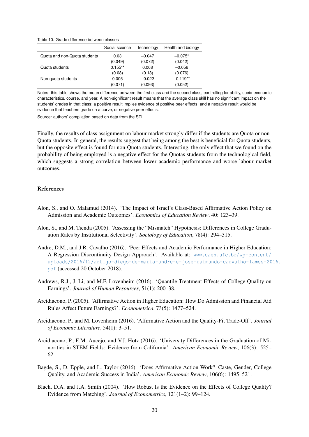Table 10: Grade difference between classes

|                              | Social science | Technology | Health and biology |
|------------------------------|----------------|------------|--------------------|
| Quota and non-Quota students | 0.03           | $-0.047$   | $-0.075*$          |
|                              | (0.049)        | (0.072)    | (0.042)            |
| Quota students               | $0.155**$      | 0.068      | $-0.056$           |
|                              | (0.08)         | (0.13)     | (0.076)            |
| Non-quota students           | 0.005          | $-0.022$   | $-0.119**$         |
|                              | (0.071)        | (0.093)    | (0.052)            |

Notes: this table shows the mean difference between the first class and the second class, controlling for ability, socio-economic characteristics, course, and year. A non-significant result means that the average class skill has no significant impact on the students' grades in that class; a positive result implies evidence of positive peer effects; and a negative result would be evidence that teachers grade on a curve, or negative peer effects.

Source: authors' compilation based on data from the STI.

Finally, the results of class assignment on labour market strongly differ if the students are Quota or non-Quota students. In general, the results suggest that being among the best is beneficial for Quota students, but the opposite effect is found for non-Quota students. Interesting, the only effect that we found on the probability of being employed is a negative effect for the Quotas students from the technological field, which suggests a strong correlation between lower academic performance and worse labour market outcomes.

#### References

- Alon, S., and O. Malamud (2014). 'The Impact of Israel's Class-Based Affirmative Action Policy on Admission and Academic Outcomes'. *Economics of Education Review*, 40: 123–39.
- Alon, S., and M. Tienda (2005). 'Assessing the "Mismatch" Hypothesis: Differences in College Graduation Rates by Institutional Selectivity'. *Sociology of Education*, 78(4): 294–315.
- Andre, D.M., and J.R. Cavalho (2016). 'Peer Effects and Academic Performance in Higher Education: A Regression Discontinuity Design Approach'. Available at: [www.caen.ufc.br/wp-content/](www.caen.ufc.br/wp-content/uploads/2016/12/artigo-diego-de-maria-andre-e-jose-raimundo-carvalho-lames-2016.pdf) [uploads/2016/12/artigo-diego-de-maria-andre-e-jose-raimundo-carvalho-lames-20](www.caen.ufc.br/wp-content/uploads/2016/12/artigo-diego-de-maria-andre-e-jose-raimundo-carvalho-lames-2016.pdf)16. [pdf](www.caen.ufc.br/wp-content/uploads/2016/12/artigo-diego-de-maria-andre-e-jose-raimundo-carvalho-lames-2016.pdf) (accessed 20 October 2018).
- Andrews, R.J., J. Li, and M.F. Lovenheim (2016). 'Quantile Treatment Effects of College Quality on Earnings'. *Journal of Human Resources*, 51(1): 200–38.
- Arcidiacono, P. (2005). 'Affirmative Action in Higher Education: How Do Admission and Financial Aid Rules Affect Future Earnings?'. *Econometrica*, 73(5): 1477–524.
- Arcidiacono, P., and M. Lovenheim (2016). 'Affirmative Action and the Quality-Fit Trade-Off'. *Journal of Economic Literature*, 54(1): 3–51.
- Arcidiacono, P., E.M. Aucejo, and V.J. Hotz (2016). 'University Differences in the Graduation of Minorities in STEM Fields: Evidence from California'. *American Economic Review*, 106(3): 525– 62.
- Bagde, S., D. Epple, and L. Taylor (2016). 'Does Affirmative Action Work? Caste, Gender, College Quality, and Academic Success in India'. *American Economic Review*, 106(6): 1495–521.
- Black, D.A. and J.A. Smith (2004). 'How Robust Is the Evidence on the Effects of College Quality? Evidence from Matching'. *Journal of Econometrics*, 121(1–2): 99–124.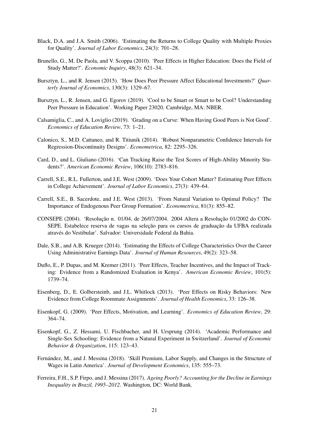- Black, D.A. and J.A. Smith (2006). 'Estimating the Returns to College Quality with Multiple Proxies for Quality'. *Journal of Labor Economics*, 24(3): 701–28.
- Brunello, G., M. De Paola, and V. Scoppa (2010). 'Peer Effects in Higher Education: Does the Field of Study Matter?'. *Economic Inquiry*, 48(3): 621–34.
- Bursztyn, L., and R. Jensen (2015). 'How Does Peer Pressure Affect Educational Investments?' *Quarterly Journal of Economics*, 130(3): 1329–67.
- Bursztyn, L., R. Jensen, and G. Egorov (2019). 'Cool to be Smart or Smart to be Cool? Understanding Peer Pressure in Education'. Working Paper 23020. Cambridge, MA: NBER.
- Calsamiglia, C., and A. Loviglio (2019). 'Grading on a Curve: When Having Good Peers is Not Good'. *Economics of Education Review*, 73: 1–21.
- Calonico, S., M.D. Cattaneo, and R. Titiunik (2014). 'Robust Nonparametric Confidence Intervals for Regression-Discontinuity Designs'. *Econometrica*, 82: 2295–326.
- Card, D., and L. Giuliano (2016). 'Can Tracking Raise the Test Scores of High-Ability Minority Students?'. *American Economic Review*, 106(10): 2783–816.
- Carrell, S.E., R.L. Fullerton, and J.E. West (2009). 'Does Your Cohort Matter? Estimating Peer Effects in College Achievement'. *Journal of Labor Economics*, 27(3): 439–64.
- Carrell, S.E., B. Sacerdote, and J.E. West (2013). 'From Natural Variation to Optimal Policy? The Importance of Endogenous Peer Group Formation'. *Econometrica*, 81(3): 855–82.
- CONSEPE (2004). 'Resolução n. 01/04, de 26/07/2004. 2004 Altera a Resolução 01/2002 do CON-SEPE. Estabelece reserva de vagas na seleção para os cursos de graduação da UFBA realizada através do Vestibular'. Salvador: Universidade Federal da Bahia.
- Dale, S.B., and A.B. Krueger (2014). 'Estimating the Effects of College Characteristics Over the Career Using Administrative Earnings Data'. *Journal of Human Resources*, 49(2): 323–58.
- Duflo, E., P. Dupas, and M. Kremer (2011). 'Peer Effects, Teacher Incentives, and the Impact of Tracking: Evidence from a Randomized Evaluation in Kenya'. *American Economic Review*, 101(5): 1739–74.
- Eisenberg, D., E. Golbersteinb, and J.L. Whitlock (2013). 'Peer Effects on Risky Behaviors: New Evidence from College Roommate Assignments'. *Journal of Health Economics*, 33: 126–38.
- Eisenkopf, G. (2009). 'Peer Effects, Motivation, and Learning'. *Economics of Education Review*, 29: 364–74.
- Eisenkopf, G., Z. Hessami, U. Fischbacher, and H. Ursprung (2014). 'Academic Performance and Single-Sex Schooling: Evidence from a Natural Experiment in Switzerland'. *Journal of Economic Behavior & Organization*, 115: 123–43.
- Fernández, M., and J. Messina (2018). 'Skill Premium, Labor Supply, and Changes in the Structure of Wages in Latin America'. *Journal of Development Economics*, 135: 555–73.
- Ferreira, F.H., S.P. Firpo, and J. Messina (2017). *Ageing Poorly? Accounting for the Decline in Earnings Inequality in Brazil, 1995–2012*. Washington, DC: World Bank.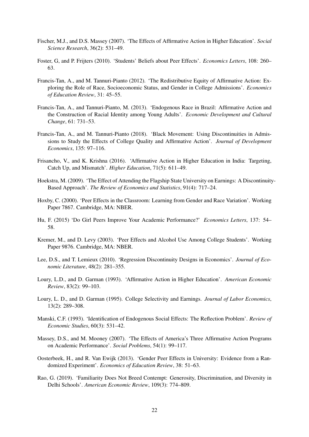- Fischer, M.J., and D.S. Massey (2007). 'The Effects of Affirmative Action in Higher Education'. *Social Science Research*, 36(2): 531–49.
- Foster, G, and P. Frijters (2010). 'Students' Beliefs about Peer Effects'. *Economics Letters*, 108: 260– 63.
- Francis-Tan, A., and M. Tannuri-Pianto (2012). 'The Redistributive Equity of Affirmative Action: Exploring the Role of Race, Socioeconomic Status, and Gender in College Admissions'. *Economics of Education Review*, 31: 45–55.
- Francis-Tan, A., and Tannuri-Pianto, M. (2013). 'Endogenous Race in Brazil: Affirmative Action and the Construction of Racial Identity among Young Adults'. *Economic Development and Cultural Change*, 61: 731–53.
- Francis-Tan, A., and M. Tannuri-Pianto (2018). 'Black Movement: Using Discontinuities in Admissions to Study the Effects of College Quality and Affirmative Action'. *Journal of Development Economics*, 135: 97–116.
- Frisancho, V., and K. Krishna (2016). 'Affirmative Action in Higher Education in India: Targeting, Catch Up, and Mismatch'. *Higher Education*, 71(5): 611–49.
- Hoekstra, M. (2009). 'The Effect of Attending the Flagship State University on Earnings: A Discontinuity-Based Approach'. *The Review of Economics and Statistics*, 91(4): 717–24.
- Hoxby, C. (2000). 'Peer Effects in the Classroom: Learning from Gender and Race Variation'. Working Paper 7867. Cambridge, MA: NBER.
- Hu, F. (2015) 'Do Girl Peers Improve Your Academic Performance?' *Economics Letters*, 137: 54– 58.
- Kremer, M., and D. Levy (2003). 'Peer Effects and Alcohol Use Among College Students'. Working Paper 9876. Cambridge, MA: NBER.
- Lee, D.S., and T. Lemieux (2010). 'Regression Discontinuity Designs in Economics'. *Journal of Economic Literature*, 48(2): 281–355.
- Loury, L.D., and D. Garman (1993). 'Affirmative Action in Higher Education'. *American Economic Review*, 83(2): 99–103.
- Loury, L. D., and D. Garman (1995). College Selectivity and Earnings. *Journal of Labor Economics*, 13(2): 289–308.
- Manski, C.F. (1993). 'Identification of Endogenous Social Effects: The Reflection Problem'. *Review of Economic Studies*, 60(3): 531–42.
- Massey, D.S., and M. Mooney (2007). 'The Effects of America's Three Affirmative Action Programs on Academic Performance'. *Social Problems*, 54(1): 99–117.
- Oosterbeek, H., and R. Van Ewijk (2013). 'Gender Peer Effects in University: Evidence from a Randomized Experiment'. *Economics of Education Review*, 38: 51–63.
- Rao, G. (2019). 'Familiarity Does Not Breed Contempt: Generosity, Discrimination, and Diversity in Delhi Schools'. *American Economic Review*, 109(3): 774–809.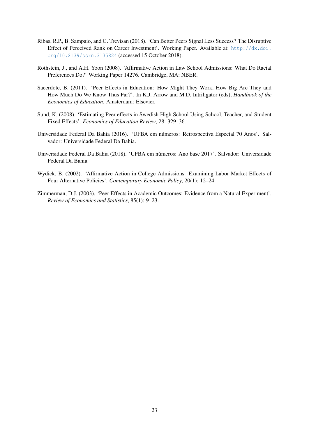- Ribas, R.P., B. Sampaio, and G. Trevisan (2018). 'Can Better Peers Signal Less Success? The Disruptive Effect of Perceived Rank on Career Investment'. Working Paper. Available at: [http://dx.doi.](http://dx.doi.org/10.2139/ssrn.3135824) [org/10.2139/ssrn.3135824](http://dx.doi.org/10.2139/ssrn.3135824) (accessed 15 October 2018).
- Rothstein, J., and A.H. Yoon (2008). 'Affirmative Action in Law School Admissions: What Do Racial Preferences Do?' Working Paper 14276. Cambridge, MA: NBER.
- Sacerdote, B. (2011). 'Peer Effects in Education: How Might They Work, How Big Are They and How Much Do We Know Thus Far?'. In K.J. Arrow and M.D. Intriligator (eds), *Handbook of the Economics of Education*. Amsterdam: Elsevier.
- Sund, K. (2008). 'Estimating Peer effects in Swedish High School Using School, Teacher, and Student Fixed Effects'. *Economics of Education Review*, 28: 329–36.
- Universidade Federal Da Bahia (2016). 'UFBA em números: Retrospectiva Especial 70 Anos'. Salvador: Universidade Federal Da Bahia.
- Universidade Federal Da Bahia (2018). 'UFBA em números: Ano base 2017'. Salvador: Universidade Federal Da Bahia.
- Wydick, B. (2002). 'Affirmative Action in College Admissions: Examining Labor Market Effects of Four Alternative Policies'. *Contemporary Economic Policy*, 20(1): 12–24.
- Zimmerman, D.J. (2003). 'Peer Effects in Academic Outcomes: Evidence from a Natural Experiment'. *Review of Economics and Statistics*, 85(1): 9–23.